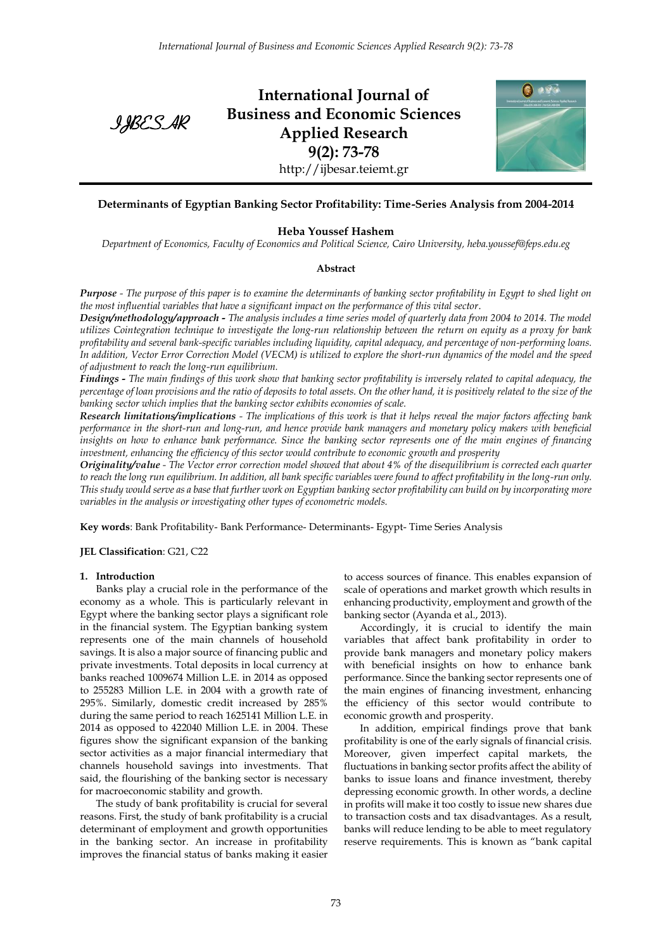

**International Journal of Business and Economic Sciences Applied Research 9(2): 73-78** http://ijbesar.teiemt.gr



## **Determinants of Egyptian Banking Sector Profitability: Time-Series Analysis from 2004-2014**

## **Heba Youssef Hashem**

*Department of Economics, Faculty of Economics and Political Science, Cairo University, heba.youssef@feps.edu.eg*

#### **Abstract**

*Purpose - The purpose of this paper is to examine the determinants of banking sector profitability in Egypt to shed light on the most influential variables that have a significant impact on the performance of this vital sector*.

*Design/methodology/approach - The analysis includes a time series model of quarterly data from 2004 to 2014. The model utilizes Cointegration technique to investigate the long-run relationship between the return on equity as a proxy for bank profitability and several bank-specific variables including liquidity, capital adequacy, and percentage of non-performing loans. In addition, Vector Error Correction Model (VECM) is utilized to explore the short-run dynamics of the model and the speed of adjustment to reach the long-run equilibrium.* 

*Findings - The main findings of this work show that banking sector profitability is inversely related to capital adequacy, the percentage of loan provisions and the ratio of deposits to total assets. On the other hand, it is positively related to the size of the banking sector which implies that the banking sector exhibits economies of scale.*

*Research limitations/implications - The implications of this work is that it helps reveal the major factors affecting bank performance in the short-run and long-run, and hence provide bank managers and monetary policy makers with beneficial insights on how to enhance bank performance. Since the banking sector represents one of the main engines of financing investment, enhancing the efficiency of this sector would contribute to economic growth and prosperity*

*Originality/value - The Vector error correction model showed that about 4% of the disequilibrium is corrected each quarter to reach the long run equilibrium. In addition, all bank specific variables were found to affect profitability in the long-run only. This study would serve as a base that further work on Egyptian banking sector profitability can build on by incorporating more variables in the analysis or investigating other types of econometric models.*

**Key words**: Bank Profitability- Bank Performance- Determinants- Egypt- Time Series Analysis

**JEL Classification**: G21, C22

## **1. Introduction**

Banks play a crucial role in the performance of the economy as a whole. This is particularly relevant in Egypt where the banking sector plays a significant role in the financial system. The Egyptian banking system represents one of the main channels of household savings. It is also a major source of financing public and private investments. Total deposits in local currency at banks reached 1009674 Million L.E. in 2014 as opposed to 255283 Million L.E. in 2004 with a growth rate of 295%. Similarly, domestic credit increased by 285% during the same period to reach 1625141 Million L.E. in 2014 as opposed to 422040 Million L.E. in 2004. These figures show the significant expansion of the banking sector activities as a major financial intermediary that channels household savings into investments. That said, the flourishing of the banking sector is necessary for macroeconomic stability and growth.

The study of bank profitability is crucial for several reasons. First, the study of bank profitability is a crucial determinant of employment and growth opportunities in the banking sector. An increase in profitability improves the financial status of banks making it easier to access sources of finance. This enables expansion of scale of operations and market growth which results in enhancing productivity, employment and growth of the banking sector (Ayanda et al., 2013).

Accordingly, it is crucial to identify the main variables that affect bank profitability in order to provide bank managers and monetary policy makers with beneficial insights on how to enhance bank performance. Since the banking sector represents one of the main engines of financing investment, enhancing the efficiency of this sector would contribute to economic growth and prosperity.

In addition, empirical findings prove that bank profitability is one of the early signals of financial crisis. Moreover, given imperfect capital markets, the fluctuations in banking sector profits affect the ability of banks to issue loans and finance investment, thereby depressing economic growth. In other words, a decline in profits will make it too costly to issue new shares due to transaction costs and tax disadvantages. As a result, banks will reduce lending to be able to meet regulatory reserve requirements. This is known as "bank capital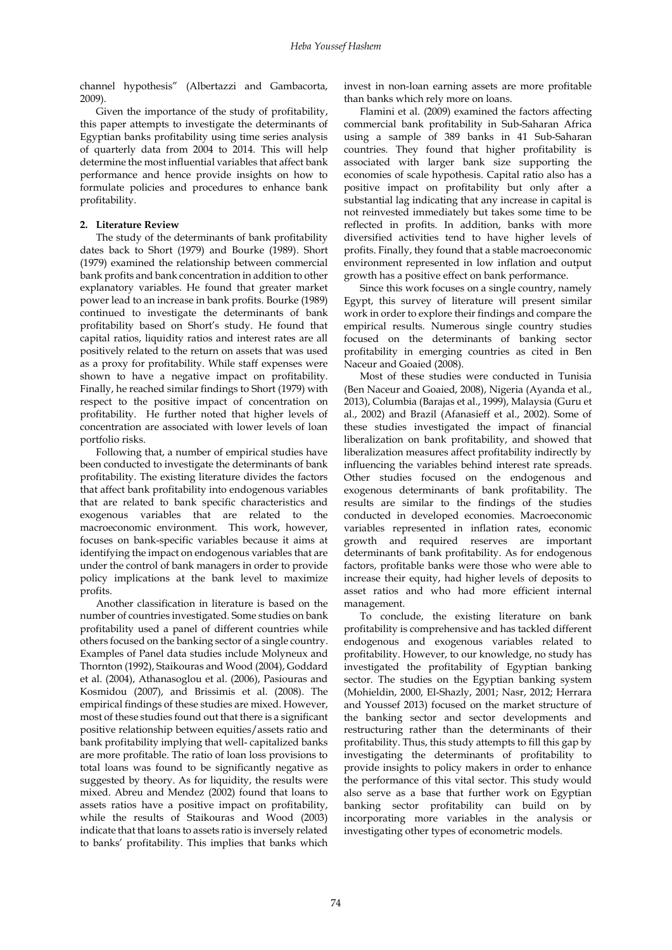channel hypothesis" (Albertazzi and Gambacorta, 2009).

Given the importance of the study of profitability, this paper attempts to investigate the determinants of Egyptian banks profitability using time series analysis of quarterly data from 2004 to 2014. This will help determine the most influential variables that affect bank performance and hence provide insights on how to formulate policies and procedures to enhance bank profitability.

## **2. Literature Review**

The study of the determinants of bank profitability dates back to Short (1979) and Bourke (1989). Short (1979) examined the relationship between commercial bank profits and bank concentration in addition to other explanatory variables. He found that greater market power lead to an increase in bank profits. Bourke (1989) continued to investigate the determinants of bank profitability based on Short's study. He found that capital ratios, liquidity ratios and interest rates are all positively related to the return on assets that was used as a proxy for profitability. While staff expenses were shown to have a negative impact on profitability. Finally, he reached similar findings to Short (1979) with respect to the positive impact of concentration on profitability. He further noted that higher levels of concentration are associated with lower levels of loan portfolio risks.

Following that, a number of empirical studies have been conducted to investigate the determinants of bank profitability. The existing literature divides the factors that affect bank profitability into endogenous variables that are related to bank specific characteristics and exogenous variables that are related to the macroeconomic environment. This work, however, focuses on bank-specific variables because it aims at identifying the impact on endogenous variables that are under the control of bank managers in order to provide policy implications at the bank level to maximize profits.

Another classification in literature is based on the number of countries investigated. Some studies on bank profitability used a panel of different countries while others focused on the banking sector of a single country. Examples of Panel data studies include Molyneux and Thornton (1992), Staikouras and Wood (2004), Goddard et al. (2004), Athanasoglou et al. (2006), Pasiouras and Kosmidou (2007), and Brissimis et al. (2008). The empirical findings of these studies are mixed. However, most of these studies found out that there is a significant positive relationship between equities/assets ratio and bank profitability implying that well- capitalized banks are more profitable. The ratio of loan loss provisions to total loans was found to be significantly negative as suggested by theory. As for liquidity, the results were mixed. Abreu and Mendez (2002) found that loans to assets ratios have a positive impact on profitability, while the results of Staikouras and Wood (2003) indicate that that loans to assets ratio is inversely related to banks' profitability. This implies that banks which invest in non-loan earning assets are more profitable than banks which rely more on loans.

Flamini et al. (2009) examined the factors affecting commercial bank profitability in Sub-Saharan Africa using a sample of 389 banks in 41 Sub-Saharan countries. They found that higher profitability is associated with larger bank size supporting the economies of scale hypothesis. Capital ratio also has a positive impact on profitability but only after a substantial lag indicating that any increase in capital is not reinvested immediately but takes some time to be reflected in profits. In addition, banks with more diversified activities tend to have higher levels of profits. Finally, they found that a stable macroeconomic environment represented in low inflation and output growth has a positive effect on bank performance.

Since this work focuses on a single country, namely Egypt, this survey of literature will present similar work in order to explore their findings and compare the empirical results. Numerous single country studies focused on the determinants of banking sector profitability in emerging countries as cited in Ben Naceur and Goaied (2008).

Most of these studies were conducted in Tunisia (Ben Naceur and Goaied, 2008), Nigeria (Ayanda et al., 2013), Columbia (Barajas et al., 1999), Malaysia (Guru et al., 2002) and Brazil (Afanasieff et al., 2002). Some of these studies investigated the impact of financial liberalization on bank profitability, and showed that liberalization measures affect profitability indirectly by influencing the variables behind interest rate spreads. Other studies focused on the endogenous and exogenous determinants of bank profitability. The results are similar to the findings of the studies conducted in developed economies. Macroeconomic variables represented in inflation rates, economic growth and required reserves are important determinants of bank profitability. As for endogenous factors, profitable banks were those who were able to increase their equity, had higher levels of deposits to asset ratios and who had more efficient internal management.

To conclude, the existing literature on bank profitability is comprehensive and has tackled different endogenous and exogenous variables related to profitability. However, to our knowledge, no study has investigated the profitability of Egyptian banking sector. The studies on the Egyptian banking system (Mohieldin, 2000, El-Shazly, 2001; Nasr, 2012; Herrara and Youssef 2013) focused on the market structure of the banking sector and sector developments and restructuring rather than the determinants of their profitability. Thus, this study attempts to fill this gap by investigating the determinants of profitability to provide insights to policy makers in order to enhance the performance of this vital sector. This study would also serve as a base that further work on Egyptian banking sector profitability can build on by incorporating more variables in the analysis or investigating other types of econometric models.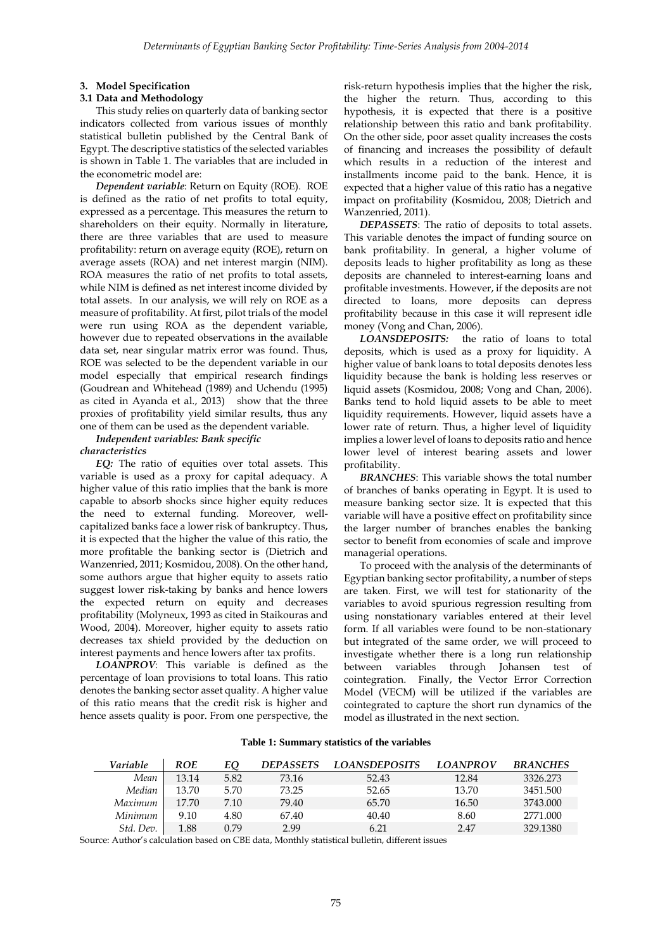#### **3. Model Specification**

#### **3.1 Data and Methodology**

This study relies on quarterly data of banking sector indicators collected from various issues of monthly statistical bulletin published by the Central Bank of Egypt. The descriptive statistics of the selected variables is shown in Table 1. The variables that are included in the econometric model are:

*Dependent variable*: Return on Equity (ROE). ROE is defined as the ratio of net profits to total equity, expressed as a percentage. This measures the return to shareholders on their equity. Normally in literature, there are three variables that are used to measure profitability: return on average equity (ROE), return on average assets (ROA) and net interest margin (NIM). ROA measures the ratio of net profits to total assets, while NIM is defined as net interest income divided by total assets. In our analysis, we will rely on ROE as a measure of profitability. At first, pilot trials of the model were run using ROA as the dependent variable, however due to repeated observations in the available data set, near singular matrix error was found. Thus, ROE was selected to be the dependent variable in our model especially that empirical research findings (Goudrean and Whitehead (1989) and Uchendu (1995) as cited in Ayanda et al., 2013) show that the three proxies of profitability yield similar results, thus any one of them can be used as the dependent variable.

#### *Independent variables: Bank specific characteristics*

*EQ:* The ratio of equities over total assets. This variable is used as a proxy for capital adequacy. A higher value of this ratio implies that the bank is more capable to absorb shocks since higher equity reduces the need to external funding. Moreover, wellcapitalized banks face a lower risk of bankruptcy. Thus, it is expected that the higher the value of this ratio, the more profitable the banking sector is (Dietrich and Wanzenried, 2011; Kosmidou, 2008). On the other hand, some authors argue that higher equity to assets ratio suggest lower risk-taking by banks and hence lowers the expected return on equity and decreases profitability (Molyneux, 1993 as cited in Staikouras and Wood, 2004). Moreover, higher equity to assets ratio decreases tax shield provided by the deduction on interest payments and hence lowers after tax profits.

*LOANPROV*: This variable is defined as the percentage of loan provisions to total loans. This ratio denotes the banking sector asset quality. A higher value of this ratio means that the credit risk is higher and hence assets quality is poor. From one perspective, the risk-return hypothesis implies that the higher the risk, the higher the return. Thus, according to this hypothesis, it is expected that there is a positive relationship between this ratio and bank profitability. On the other side, poor asset quality increases the costs of financing and increases the possibility of default which results in a reduction of the interest and installments income paid to the bank. Hence, it is expected that a higher value of this ratio has a negative impact on profitability (Kosmidou, 2008; Dietrich and Wanzenried, 2011).

*DEPASSETS*: The ratio of deposits to total assets. This variable denotes the impact of funding source on bank profitability. In general, a higher volume of deposits leads to higher profitability as long as these deposits are channeled to interest-earning loans and profitable investments. However, if the deposits are not directed to loans, more deposits can depress profitability because in this case it will represent idle money (Vong and Chan, 2006).

*LOANSDEPOSITS:* the ratio of loans to total deposits, which is used as a proxy for liquidity. A higher value of bank loans to total deposits denotes less liquidity because the bank is holding less reserves or liquid assets (Kosmidou, 2008; Vong and Chan, 2006). Banks tend to hold liquid assets to be able to meet liquidity requirements. However, liquid assets have a lower rate of return. Thus, a higher level of liquidity implies a lower level of loans to deposits ratio and hence lower level of interest bearing assets and lower profitability.

*BRANCHES*: This variable shows the total number of branches of banks operating in Egypt. It is used to measure banking sector size. It is expected that this variable will have a positive effect on profitability since the larger number of branches enables the banking sector to benefit from economies of scale and improve managerial operations.

To proceed with the analysis of the determinants of Egyptian banking sector profitability, a number of steps are taken. First, we will test for stationarity of the variables to avoid spurious regression resulting from using nonstationary variables entered at their level form. If all variables were found to be non-stationary but integrated of the same order, we will proceed to investigate whether there is a long run relationship between variables through Johansen test of cointegration. Finally, the Vector Error Correction Model (VECM) will be utilized if the variables are cointegrated to capture the short run dynamics of the model as illustrated in the next section.

| Variable  | ROE   | EQ   | <b>DEPASSETS</b> | <i>LOANSDEPOSITS</i> | <b>LOANPROV</b> | <b>BRANCHES</b> |
|-----------|-------|------|------------------|----------------------|-----------------|-----------------|
| Mean      | 13.14 | 5.82 | 73.16            | 52.43                | 12.84           | 3326.273        |
| Median    | 13.70 | 5.70 | 73.25            | 52.65                | 13.70           | 3451.500        |
| Maximum   | 17.70 | 7.10 | 79.40            | 65.70                | 16.50           | 3743,000        |
| Minimum   | 9.10  | 4.80 | 67.40            | 40.40                | 8.60            | 2771.000        |
| Std. Dev. | 1.88  | 0.79 | 2.99             | 6.21                 | 2.47            | 329.1380        |

**Table 1: Summary statistics of the variables**

Source: Author's calculation based on CBE data, Monthly statistical bulletin, different issues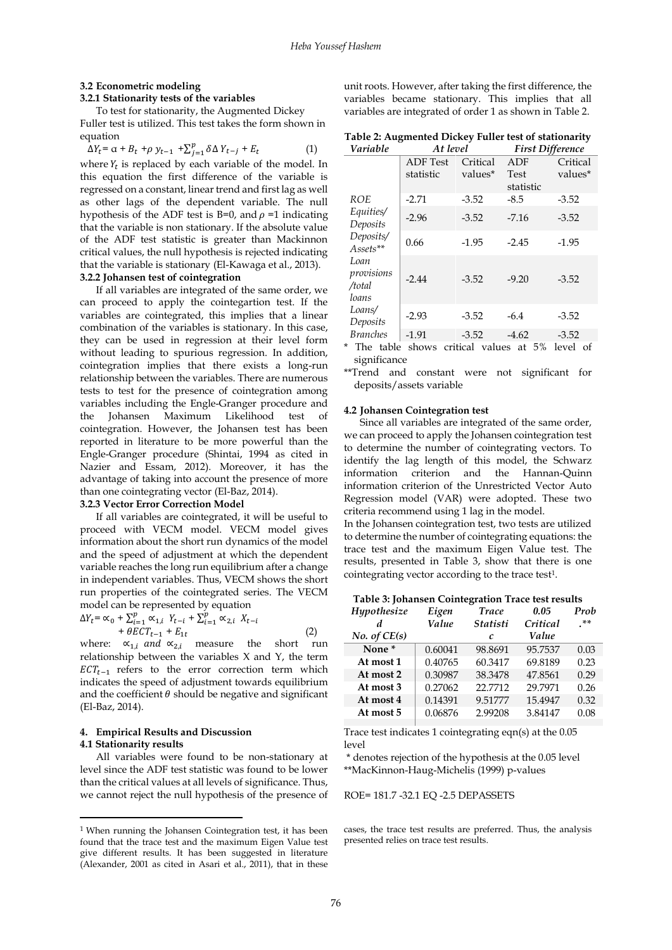#### **3.2 Econometric modeling 3.2.1 Stationarity tests of the variables**

# To test for stationarity, the Augmented Dickey

Fuller test is utilized. This test takes the form shown in equation

$$
\Delta Y_t = \alpha + B_t + \rho y_{t-1} + \sum_{j=1}^p \delta \Delta Y_{t-j} + E_t \tag{1}
$$

where  $Y_t$  is replaced by each variable of the model. In this equation the first difference of the variable is regressed on a constant, linear trend and first lag as well as other lags of the dependent variable. The null hypothesis of the ADF test is B=0, and  $\rho$  =1 indicating that the variable is non stationary. If the absolute value of the ADF test statistic is greater than Mackinnon critical values, the null hypothesis is rejected indicating that the variable is stationary (El-Kawaga et al., 2013). **3.2.2 Johansen test of cointegration**

If all variables are integrated of the same order, we can proceed to apply the cointegartion test. If the variables are cointegrated, this implies that a linear combination of the variables is stationary. In this case, they can be used in regression at their level form without leading to spurious regression. In addition, cointegration implies that there exists a long-run relationship between the variables. There are numerous tests to test for the presence of cointegration among variables including the Engle-Granger procedure and the Johansen Maximum Likelihood test of cointegration. However, the Johansen test has been reported in literature to be more powerful than the Engle-Granger procedure (Shintai, 1994 as cited in Nazier and Essam, 2012). Moreover, it has the advantage of taking into account the presence of more than one cointegrating vector (El-Baz, 2014).

## **3.2.3 Vector Error Correction Model**

If all variables are cointegrated, it will be useful to proceed with VECM model. VECM model gives information about the short run dynamics of the model and the speed of adjustment at which the dependent variable reaches the long run equilibrium after a change in independent variables. Thus, VECM shows the short run properties of the cointegrated series. The VECM model can be represented by equation

$$
\Delta Y_t = \alpha_0 + \sum_{i=1}^p \alpha_{1,i} Y_{t-i} + \sum_{i=1}^p \alpha_{2,i} X_{t-i} + \theta ECT_{t-1} + E_{1t}
$$
\n(2)

where:  $\alpha_{1,i}$  and  $\alpha_{2,i}$  measure the short run relationship between the variables X and Y, the term  $ECT_{t-1}$  refers to the error correction term which indicates the speed of adjustment towards equilibrium and the coefficient  $\theta$  should be negative and significant (El-Baz, 2014).

#### **4. Empirical Results and Discussion 4.1 Stationarity results**

 $\overline{a}$ 

All variables were found to be non-stationary at level since the ADF test statistic was found to be lower than the critical values at all levels of significance. Thus, we cannot reject the null hypothesis of the presence of unit roots. However, after taking the first difference, the variables became stationary. This implies that all variables are integrated of order 1 as shown in Table 2.

**Table 2: Augmented Dickey Fuller test of stationarity**

| Variable                              | At level        |          | <b>First Difference</b> |          |  |
|---------------------------------------|-----------------|----------|-------------------------|----------|--|
|                                       | <b>ADF</b> Test | Critical | ADF                     | Critical |  |
|                                       | statistic       | values*  | Test<br>statistic       | values*  |  |
| ROE                                   | $-2.71$         | $-3.52$  | $-8.5$                  | $-3.52$  |  |
| Equities/<br>Deposits                 | $-2.96$         | $-3.52$  | $-7.16$                 | $-3.52$  |  |
| Deposits/<br>Assets**                 | 0.66            | $-1.95$  | $-2.45$                 | $-1.95$  |  |
| Loan<br>provisions<br>/total<br>loans | $-2.44$         | $-3.52$  | $-9.20$                 | $-3.52$  |  |
| Loans/<br>Deposits                    | $-2.93$         | $-3.52$  | $-6.4$                  | $-3.52$  |  |
| <b>Branches</b>                       | $-1.91$         | $-3.52$  | $-4.62$                 | $-3.52$  |  |

\* The table shows critical values at 5% level of significance

\*\*Trend and constant were not significant for deposits/assets variable

#### **4.2 Johansen Cointegration test**

Since all variables are integrated of the same order, we can proceed to apply the Johansen cointegration test to determine the number of cointegrating vectors. To identify the lag length of this model, the Schwarz information criterion and the Hannan-Quinn information criterion of the Unrestricted Vector Auto Regression model (VAR) were adopted. These two criteria recommend using 1 lag in the model.

In the Johansen cointegration test, two tests are utilized to determine the number of cointegrating equations: the trace test and the maximum Eigen Value test. The results, presented in Table 3, show that there is one cointegrating vector according to the trace test<sup>1</sup>.

|  | Table 3: Johansen Cointegration Trace test results |  |
|--|----------------------------------------------------|--|
|  |                                                    |  |

| Hypothesize<br>d<br>No. of CE(s) | Eigen<br><b>Value</b> | <b>Trace</b><br><b>Statisti</b><br>C | 0.05<br>Critical<br>Value | Prob<br>.** |
|----------------------------------|-----------------------|--------------------------------------|---------------------------|-------------|
| None <sup>*</sup>                | 0.60041               | 98.8691                              | 95.7537                   | 0.03        |
| At most 1                        | 0.40765               | 60.3417                              | 69.8189                   | 0.23        |
| At most 2                        | 0.30987               | 38.3478                              | 47.8561                   | 0.29        |
| At most 3                        | 0.27062               | 22.7712                              | 29.7971                   | 0.26        |
| At most 4                        | 0.14391               | 9.51777                              | 15.4947                   | 0.32        |
| At most 5                        | 0.06876               | 2.99208                              | 3.84147                   | 0.08        |
|                                  |                       |                                      |                           |             |

Trace test indicates 1 cointegrating eqn(s) at the 0.05 level

\* denotes rejection of the hypothesis at the 0.05 level \*\*MacKinnon-Haug-Michelis (1999) p-values

ROE= 181.7 -32.1 EQ -2.5 DEPASSETS

cases, the trace test results are preferred. Thus, the analysis presented relies on trace test results.

<sup>1</sup> When running the Johansen Cointegration test, it has been found that the trace test and the maximum Eigen Value test give different results. It has been suggested in literature (Alexander, 2001 as cited in Asari et al., 2011), that in these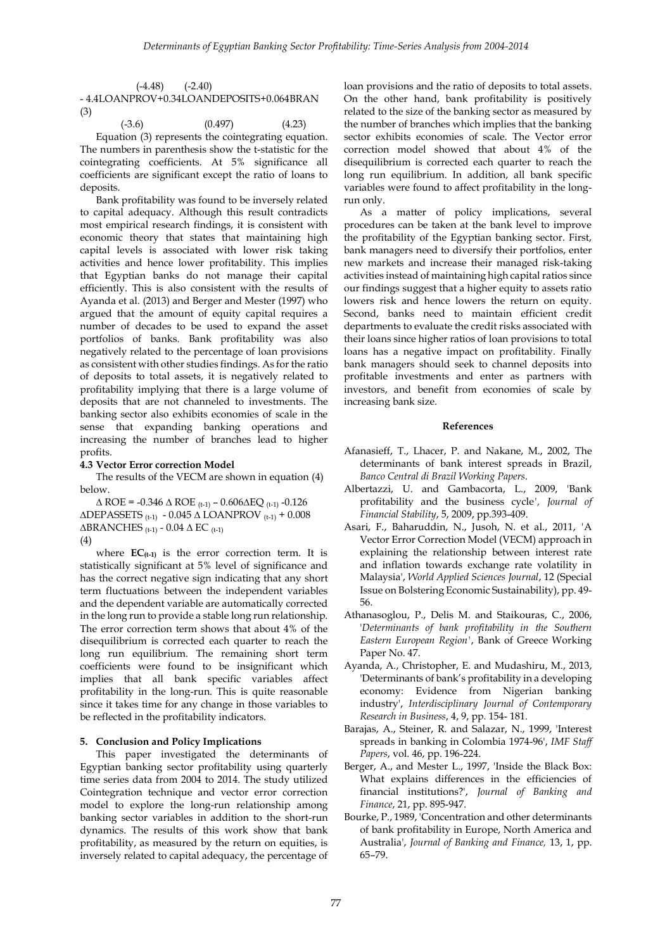| $(-4.48)$ $(-2.40)$ |                                          |
|---------------------|------------------------------------------|
|                     | - 4.4LOANPROV+0.34LOANDEPOSITS+0.064BRAN |
| (3)                 |                                          |

 $(0.497)$   $(4.23)$ Equation (3) represents the cointegrating equation. The numbers in parenthesis show the t-statistic for the cointegrating coefficients. At 5% significance all coefficients are significant except the ratio of loans to deposits.

Bank profitability was found to be inversely related to capital adequacy. Although this result contradicts most empirical research findings, it is consistent with economic theory that states that maintaining high capital levels is associated with lower risk taking activities and hence lower profitability. This implies that Egyptian banks do not manage their capital efficiently. This is also consistent with the results of Ayanda et al. (2013) and Berger and Mester (1997) who argued that the amount of equity capital requires a number of decades to be used to expand the asset portfolios of banks. Bank profitability was also negatively related to the percentage of loan provisions as consistent with other studies findings. As for the ratio of deposits to total assets, it is negatively related to profitability implying that there is a large volume of deposits that are not channeled to investments. The banking sector also exhibits economies of scale in the sense that expanding banking operations and increasing the number of branches lead to higher profits.

## **4.3 Vector Error correction Model**

The results of the VECM are shown in equation (4) below.

 $\triangle$  ROE = -0.346  $\triangle$  ROE (t-1) – 0.606 $\triangle$ EQ (t-1) -0.126  $\triangle$ DEPASSETS (t-1) - 0.045  $\triangle$  LOANPROV (t-1) + 0.008  $\triangle$ BRANCHES (t-1) - 0.04  $\triangle$  EC (t-1) (4)

where  $EC_{(t-1)}$  is the error correction term. It is statistically significant at 5% level of significance and has the correct negative sign indicating that any short term fluctuations between the independent variables and the dependent variable are automatically corrected in the long run to provide a stable long run relationship. The error correction term shows that about 4% of the disequilibrium is corrected each quarter to reach the long run equilibrium. The remaining short term coefficients were found to be insignificant which implies that all bank specific variables affect profitability in the long-run. This is quite reasonable since it takes time for any change in those variables to be reflected in the profitability indicators.

## **5. Conclusion and Policy Implications**

This paper investigated the determinants of Egyptian banking sector profitability using quarterly time series data from 2004 to 2014. The study utilized Cointegration technique and vector error correction model to explore the long-run relationship among banking sector variables in addition to the short-run dynamics. The results of this work show that bank profitability, as measured by the return on equities, is inversely related to capital adequacy, the percentage of

loan provisions and the ratio of deposits to total assets. On the other hand, bank profitability is positively related to the size of the banking sector as measured by the number of branches which implies that the banking sector exhibits economies of scale. The Vector error correction model showed that about 4% of the disequilibrium is corrected each quarter to reach the long run equilibrium. In addition, all bank specific variables were found to affect profitability in the longrun only.

As a matter of policy implications, several procedures can be taken at the bank level to improve the profitability of the Egyptian banking sector. First, bank managers need to diversify their portfolios, enter new markets and increase their managed risk-taking activities instead of maintaining high capital ratios since our findings suggest that a higher equity to assets ratio lowers risk and hence lowers the return on equity. Second, banks need to maintain efficient credit departments to evaluate the credit risks associated with their loans since higher ratios of loan provisions to total loans has a negative impact on profitability. Finally bank managers should seek to channel deposits into profitable investments and enter as partners with investors, and benefit from economies of scale by increasing bank size.

#### **References**

- Afanasieff, T., Lhacer, P. and Nakane, M., 2002, The determinants of bank interest spreads in Brazil, *Banco Central di Brazil Working Papers*.
- Albertazzi, U. and Gambacorta, L., 2009, 'Bank profitability and the business cycle*', Journal of Financial Stability*, 5, 2009, pp.393-409.
- Asari, F., Baharuddin, N., Jusoh, N. et al., 2011, *'*A Vector Error Correction Model (VECM) approach in explaining the relationship between interest rate and inflation towards exchange rate volatility in Malaysia', *World Applied Sciences Journal*, 12 (Special Issue on Bolstering Economic Sustainability), pp. 49- 56.
- Athanasoglou, P., Delis M. and Staikouras, C., 2006, '*Determinants of bank profitability in the Southern Eastern European Region'*, Bank of Greece Working Paper No. 47.
- Ayanda, A., Christopher, E. and Mudashiru, M., 2013, 'Determinants of bank's profitability in a developing economy: Evidence from Nigerian banking industry', *Interdisciplinary Journal of Contemporary Research in Business*, 4, 9, pp. 154- 181.
- Barajas, A., Steiner, R. and Salazar, N., 1999, 'Interest spreads in banking in Colombia 1974-96', *IMF Staff Papers*, vol. 46, pp. 196-224.
- Berger, A., and Mester L., 1997, 'Inside the Black Box: What explains differences in the efficiencies of financial institutions?', *Journal of Banking and Finance*, 21, pp. 895-947.
- Bourke, P., 1989, 'Concentration and other determinants of bank profitability in Europe, North America and Australia', *Journal of Banking and Finance,* 13, 1, pp. 65–79.